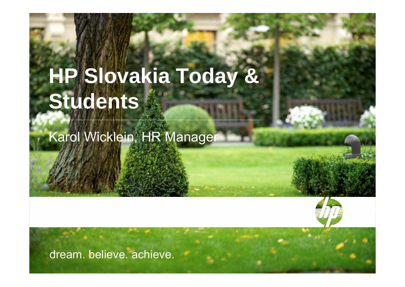# **HP Slovakia Today & Students**

\_\_\_\_\_\_\_\_\_\_\_\_\_\_\_\_\_\_\_\_\_\_\_\_\_\_\_\_\_\_\_\_\_\_\_\_\_\_\_\_\_\_\_\_\_\_\_\_\_\_\_\_\_\_\_\_\_\_\_\_\_\_\_\_\_\_\_\_\_\_\_\_\_\_\_\_\_\_\_\_\_\_\_\_\_\_\_\_\_\_\_\_\_\_\_\_\_\_

October 21st, 2008 QUO VADIS VZDELAVANIE IT ODBORNIKOV 1999. ZA STANOVNIKOV 1999 POD VADIS VZDELAVANIE IT ODBOR

Karol Wicklein, HR Manager



dream. believe. achieve.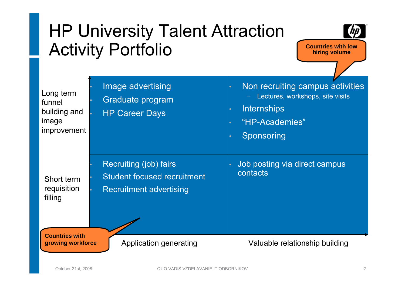## HP University Talent Attraction Activity Portfolio



**Countries with low hiring volume**

| Long term<br>funnel<br>building and<br>image<br>improvement | Image advertising<br>Graduate program<br><b>HP Career Days</b>                                 | Non recruiting campus activities<br>Lectures, workshops, site visits<br><b>Internships</b><br>"HP-Academies"<br>Sponsoring |
|-------------------------------------------------------------|------------------------------------------------------------------------------------------------|----------------------------------------------------------------------------------------------------------------------------|
| Short term<br>requisition<br>filling                        | Recruiting (job) fairs<br><b>Student focused recruitment</b><br><b>Recruitment advertising</b> | Job posting via direct campus<br>contacts                                                                                  |
| <b>Countries with</b><br>growing workforce                  | Application generating                                                                         | Valuable relationship building                                                                                             |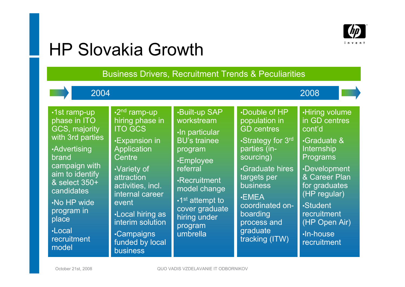

### HP Slovakia Growth

Business Drivers, Recruitment Trends & Peculiarities

| 2004                                                                                                                                                                                                                                              |                                                                                                                                                                                                                                                                                                                  |                                                                                                                                                                                                                                                              |                                                                                                                                                                                                                                                                     | 2008                                                                                                                                                                                                                                                 |
|---------------------------------------------------------------------------------------------------------------------------------------------------------------------------------------------------------------------------------------------------|------------------------------------------------------------------------------------------------------------------------------------------------------------------------------------------------------------------------------------------------------------------------------------------------------------------|--------------------------------------------------------------------------------------------------------------------------------------------------------------------------------------------------------------------------------------------------------------|---------------------------------------------------------------------------------------------------------------------------------------------------------------------------------------------------------------------------------------------------------------------|------------------------------------------------------------------------------------------------------------------------------------------------------------------------------------------------------------------------------------------------------|
| ·1st ramp-up<br>phase in ITO<br><b>GCS, majority</b><br>with 3rd parties<br><b>Advertising</b><br>brand<br>campaign with<br>aim to identify<br>& select 350+<br>candidates<br>No HP wide<br>program in<br>place<br>·Local<br>recruitment<br>model | $\cdot$ 2 <sup>nd</sup> ramp-up<br>hiring phase in<br><b>ITO GCS</b><br><b>Expansion in</b><br>Application<br>Centre<br><b>Variety of</b><br>attraction<br>activities, incl.<br>internal career<br>event<br><b>Local hiring as</b><br>interim solution<br><b>Campaigns</b><br>funded by local<br><b>business</b> | <b>.Built-up SAP</b><br>workstream<br>·In particular<br><b>BU's trainee</b><br>program<br><b>.Employee</b><br>referral<br><b>·Recruitment</b><br>model change<br>$\cdot$ 1 <sup>st</sup> attempt to<br>cover graduate<br>hiring under<br>program<br>umbrella | <b>.Double of HP</b><br>population in<br><b>GD</b> centres<br>•Strategy for 3rd<br>parties (in-<br>sourcing)<br><b>Graduate hires</b><br>targets per<br><b>business</b><br>$\cdot$ EMEA<br>coordinated on-<br>boarding<br>process and<br>graduate<br>tracking (ITW) | <b>.Hiring volume</b><br>in GD centres<br>cont'd<br><b>Graduate &amp;</b><br>Internship<br>Programs<br>•Development<br>& Career Plan<br>for graduates<br>(HP regular)<br><b>.Student</b><br>recruitment<br>(HP Open Air)<br>·In-house<br>recruitment |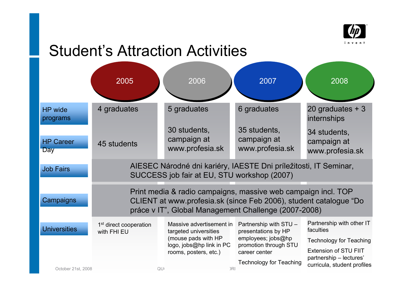

#### Student's Attraction Activities

|                                | 2005                                                                                                                                                                                       |    | 2006                                                                                                                          |     | 2007                                                                                                                                            | 2008                                                                                                                                |  |  |
|--------------------------------|--------------------------------------------------------------------------------------------------------------------------------------------------------------------------------------------|----|-------------------------------------------------------------------------------------------------------------------------------|-----|-------------------------------------------------------------------------------------------------------------------------------------------------|-------------------------------------------------------------------------------------------------------------------------------------|--|--|
| <b>HP</b> wide<br>programs     | 4 graduates                                                                                                                                                                                |    | 5 graduates                                                                                                                   |     | 6 graduates                                                                                                                                     | 20 graduates $+3$<br>internships                                                                                                    |  |  |
| <b>HP Career</b><br><b>Day</b> | 45 students                                                                                                                                                                                |    | 30 students,<br>campaign at<br>www.profesia.sk                                                                                |     | 35 students,<br>campaign at<br>www.profesia.sk                                                                                                  | 34 students,<br>campaign at<br>www.profesia.sk                                                                                      |  |  |
| <b>Job Fairs</b>               | AIESEC Národné dni kariéry, IAESTE Dni príležitosti, IT Seminar,<br>SUCCESS job fair at EU, STU workshop (2007)                                                                            |    |                                                                                                                               |     |                                                                                                                                                 |                                                                                                                                     |  |  |
| Campaigns                      | Print media & radio campaigns, massive web campaign incl. TOP<br>CLIENT at www.profesia.sk (since Feb 2006), student catalogue "Do<br>práce v IT", Global Management Challenge (2007-2008) |    |                                                                                                                               |     |                                                                                                                                                 |                                                                                                                                     |  |  |
| <b>Universities</b>            | 1 <sup>st</sup> direct cooperation<br>with FHI EU                                                                                                                                          |    | Massive advertisement in<br>targeted universities<br>(mouse pads with HP<br>logo, jobs@hp link in PC<br>rooms, posters, etc.) |     | Partnership with STU -<br>presentations by HP<br>employees; jobs@hp<br>promotion through STU<br>career center<br><b>Technology for Teaching</b> | Partnership with other IT<br>faculties<br><b>Technology for Teaching</b><br><b>Extension of STU FIIT</b><br>partnership - lectures' |  |  |
| October 21st, 2008             |                                                                                                                                                                                            | QU |                                                                                                                               | )RI |                                                                                                                                                 | curricula, student profiles                                                                                                         |  |  |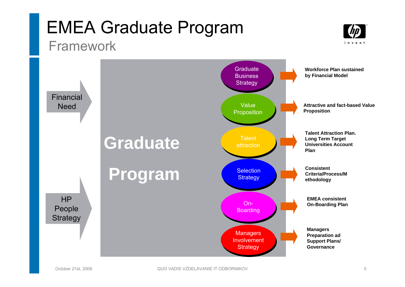#### EMEA Graduate Program Framework



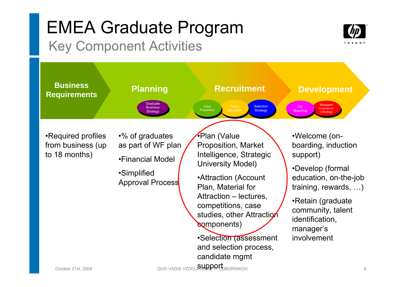### EMEA Graduate Program Key Component Activities